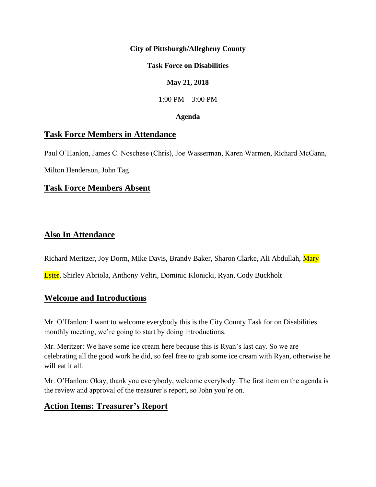### **City of Pittsburgh/Allegheny County**

### **Task Force on Disabilities**

### **May 21, 2018**

1:00 PM – 3:00 PM

#### **Agenda**

### **Task Force Members in Attendance**

Paul O'Hanlon, James C. Noschese (Chris), Joe Wasserman, Karen Warmen, Richard McGann,

Milton Henderson, John Tag

# **Task Force Members Absent**

### **Also In Attendance**

Richard Meritzer, Joy Dorm, Mike Davis, Brandy Baker, Sharon Clarke, Ali Abdullah, Mary

Ester, Shirley Abriola, Anthony Veltri, Dominic Klonicki, Ryan, Cody Buckholt

### **Welcome and Introductions**

Mr. O'Hanlon: I want to welcome everybody this is the City County Task for on Disabilities monthly meeting, we're going to start by doing introductions.

Mr. Meritzer: We have some ice cream here because this is Ryan's last day. So we are celebrating all the good work he did, so feel free to grab some ice cream with Ryan, otherwise he will eat it all.

Mr. O'Hanlon: Okay, thank you everybody, welcome everybody. The first item on the agenda is the review and approval of the treasurer's report, so John you're on.

# **Action Items: Treasurer's Report**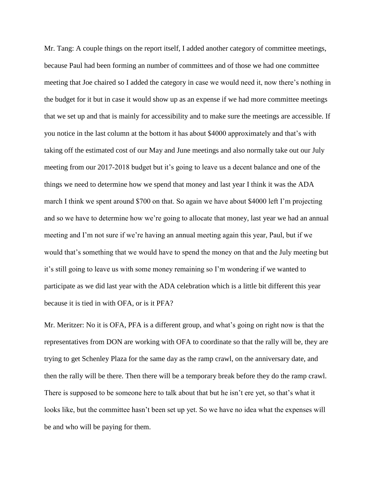Mr. Tang: A couple things on the report itself, I added another category of committee meetings, because Paul had been forming an number of committees and of those we had one committee meeting that Joe chaired so I added the category in case we would need it, now there's nothing in the budget for it but in case it would show up as an expense if we had more committee meetings that we set up and that is mainly for accessibility and to make sure the meetings are accessible. If you notice in the last column at the bottom it has about \$4000 approximately and that's with taking off the estimated cost of our May and June meetings and also normally take out our July meeting from our 2017-2018 budget but it's going to leave us a decent balance and one of the things we need to determine how we spend that money and last year I think it was the ADA march I think we spent around \$700 on that. So again we have about \$4000 left I'm projecting and so we have to determine how we're going to allocate that money, last year we had an annual meeting and I'm not sure if we're having an annual meeting again this year, Paul, but if we would that's something that we would have to spend the money on that and the July meeting but it's still going to leave us with some money remaining so I'm wondering if we wanted to participate as we did last year with the ADA celebration which is a little bit different this year because it is tied in with OFA, or is it PFA?

Mr. Meritzer: No it is OFA, PFA is a different group, and what's going on right now is that the representatives from DON are working with OFA to coordinate so that the rally will be, they are trying to get Schenley Plaza for the same day as the ramp crawl, on the anniversary date, and then the rally will be there. Then there will be a temporary break before they do the ramp crawl. There is supposed to be someone here to talk about that but he isn't ere yet, so that's what it looks like, but the committee hasn't been set up yet. So we have no idea what the expenses will be and who will be paying for them.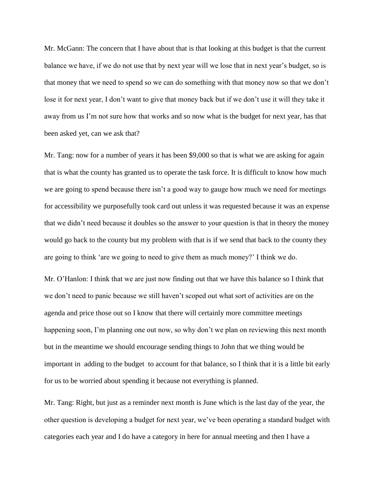Mr. McGann: The concern that I have about that is that looking at this budget is that the current balance we have, if we do not use that by next year will we lose that in next year's budget, so is that money that we need to spend so we can do something with that money now so that we don't lose it for next year, I don't want to give that money back but if we don't use it will they take it away from us I'm not sure how that works and so now what is the budget for next year, has that been asked yet, can we ask that?

Mr. Tang: now for a number of years it has been \$9,000 so that is what we are asking for again that is what the county has granted us to operate the task force. It is difficult to know how much we are going to spend because there isn't a good way to gauge how much we need for meetings for accessibility we purposefully took card out unless it was requested because it was an expense that we didn't need because it doubles so the answer to your question is that in theory the money would go back to the county but my problem with that is if we send that back to the county they are going to think 'are we going to need to give them as much money?' I think we do.

Mr. O'Hanlon: I think that we are just now finding out that we have this balance so I think that we don't need to panic because we still haven't scoped out what sort of activities are on the agenda and price those out so I know that there will certainly more committee meetings happening soon, I'm planning one out now, so why don't we plan on reviewing this next month but in the meantime we should encourage sending things to John that we thing would be important in adding to the budget to account for that balance, so I think that it is a little bit early for us to be worried about spending it because not everything is planned.

Mr. Tang: Right, but just as a reminder next month is June which is the last day of the year, the other question is developing a budget for next year, we've been operating a standard budget with categories each year and I do have a category in here for annual meeting and then I have a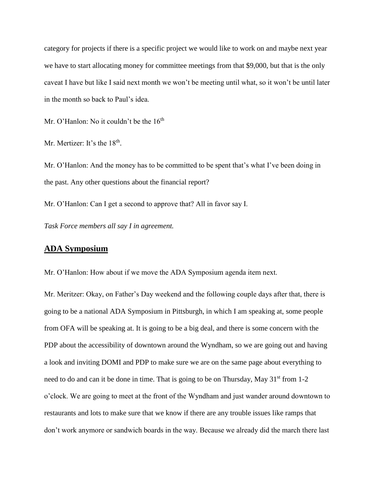category for projects if there is a specific project we would like to work on and maybe next year we have to start allocating money for committee meetings from that \$9,000, but that is the only caveat I have but like I said next month we won't be meeting until what, so it won't be until later in the month so back to Paul's idea.

Mr. O'Hanlon: No it couldn't be the 16<sup>th</sup>

Mr. Mertizer: It's the  $18<sup>th</sup>$ .

Mr. O'Hanlon: And the money has to be committed to be spent that's what I've been doing in the past. Any other questions about the financial report?

Mr. O'Hanlon: Can I get a second to approve that? All in favor say I.

*Task Force members all say I in agreement.* 

### **ADA Symposium**

Mr. O'Hanlon: How about if we move the ADA Symposium agenda item next.

Mr. Meritzer: Okay, on Father's Day weekend and the following couple days after that, there is going to be a national ADA Symposium in Pittsburgh, in which I am speaking at, some people from OFA will be speaking at. It is going to be a big deal, and there is some concern with the PDP about the accessibility of downtown around the Wyndham, so we are going out and having a look and inviting DOMI and PDP to make sure we are on the same page about everything to need to do and can it be done in time. That is going to be on Thursday, May  $31<sup>st</sup>$  from 1-2 o'clock. We are going to meet at the front of the Wyndham and just wander around downtown to restaurants and lots to make sure that we know if there are any trouble issues like ramps that don't work anymore or sandwich boards in the way. Because we already did the march there last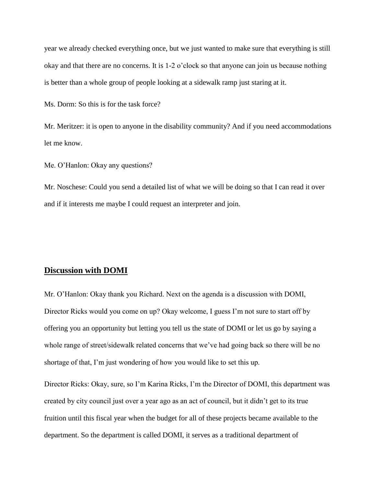year we already checked everything once, but we just wanted to make sure that everything is still okay and that there are no concerns. It is 1-2 o'clock so that anyone can join us because nothing is better than a whole group of people looking at a sidewalk ramp just staring at it.

Ms. Dorm: So this is for the task force?

Mr. Meritzer: it is open to anyone in the disability community? And if you need accommodations let me know.

Me. O'Hanlon: Okay any questions?

Mr. Noschese: Could you send a detailed list of what we will be doing so that I can read it over and if it interests me maybe I could request an interpreter and join.

### **Discussion with DOMI**

Mr. O'Hanlon: Okay thank you Richard. Next on the agenda is a discussion with DOMI, Director Ricks would you come on up? Okay welcome, I guess I'm not sure to start off by offering you an opportunity but letting you tell us the state of DOMI or let us go by saying a whole range of street/sidewalk related concerns that we've had going back so there will be no shortage of that, I'm just wondering of how you would like to set this up.

Director Ricks: Okay, sure, so I'm Karina Ricks, I'm the Director of DOMI, this department was created by city council just over a year ago as an act of council, but it didn't get to its true fruition until this fiscal year when the budget for all of these projects became available to the department. So the department is called DOMI, it serves as a traditional department of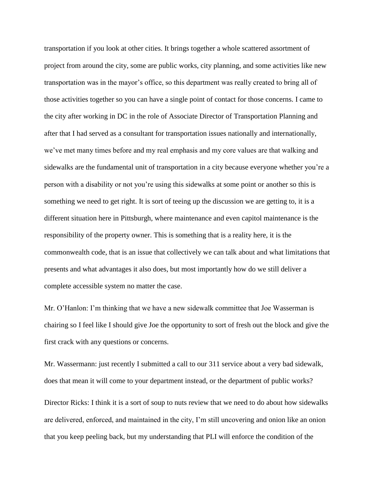transportation if you look at other cities. It brings together a whole scattered assortment of project from around the city, some are public works, city planning, and some activities like new transportation was in the mayor's office, so this department was really created to bring all of those activities together so you can have a single point of contact for those concerns. I came to the city after working in DC in the role of Associate Director of Transportation Planning and after that I had served as a consultant for transportation issues nationally and internationally, we've met many times before and my real emphasis and my core values are that walking and sidewalks are the fundamental unit of transportation in a city because everyone whether you're a person with a disability or not you're using this sidewalks at some point or another so this is something we need to get right. It is sort of teeing up the discussion we are getting to, it is a different situation here in Pittsburgh, where maintenance and even capitol maintenance is the responsibility of the property owner. This is something that is a reality here, it is the commonwealth code, that is an issue that collectively we can talk about and what limitations that presents and what advantages it also does, but most importantly how do we still deliver a complete accessible system no matter the case.

Mr. O'Hanlon: I'm thinking that we have a new sidewalk committee that Joe Wasserman is chairing so I feel like I should give Joe the opportunity to sort of fresh out the block and give the first crack with any questions or concerns.

Mr. Wassermann: just recently I submitted a call to our 311 service about a very bad sidewalk, does that mean it will come to your department instead, or the department of public works?

Director Ricks: I think it is a sort of soup to nuts review that we need to do about how sidewalks are delivered, enforced, and maintained in the city, I'm still uncovering and onion like an onion that you keep peeling back, but my understanding that PLI will enforce the condition of the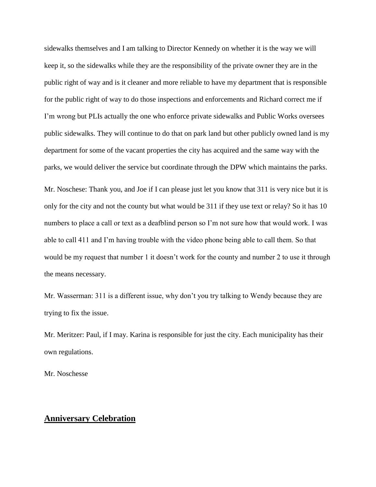sidewalks themselves and I am talking to Director Kennedy on whether it is the way we will keep it, so the sidewalks while they are the responsibility of the private owner they are in the public right of way and is it cleaner and more reliable to have my department that is responsible for the public right of way to do those inspections and enforcements and Richard correct me if I'm wrong but PLIs actually the one who enforce private sidewalks and Public Works oversees public sidewalks. They will continue to do that on park land but other publicly owned land is my department for some of the vacant properties the city has acquired and the same way with the parks, we would deliver the service but coordinate through the DPW which maintains the parks.

Mr. Noschese: Thank you, and Joe if I can please just let you know that 311 is very nice but it is only for the city and not the county but what would be 311 if they use text or relay? So it has 10 numbers to place a call or text as a deafblind person so I'm not sure how that would work. I was able to call 411 and I'm having trouble with the video phone being able to call them. So that would be my request that number 1 it doesn't work for the county and number 2 to use it through the means necessary.

Mr. Wasserman: 311 is a different issue, why don't you try talking to Wendy because they are trying to fix the issue.

Mr. Meritzer: Paul, if I may. Karina is responsible for just the city. Each municipality has their own regulations.

Mr. Noschesse

#### **Anniversary Celebration**